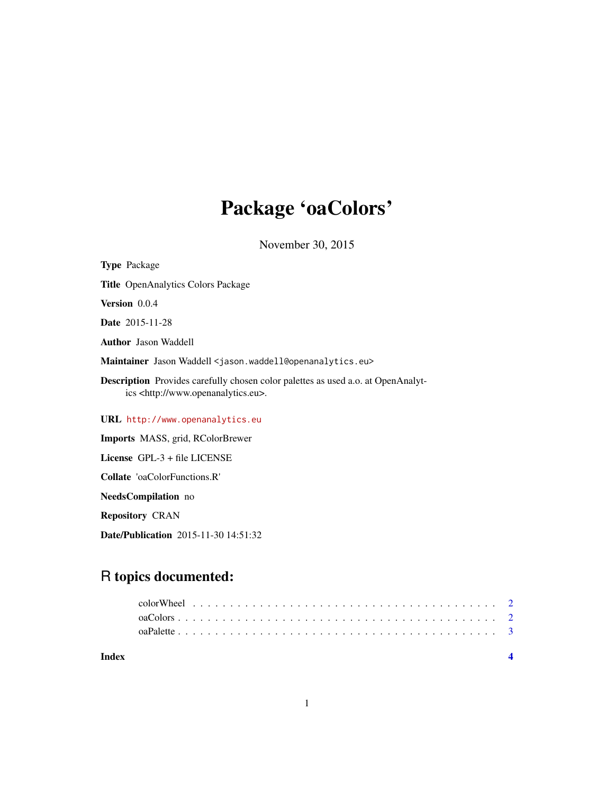# Package 'oaColors'

November 30, 2015

NeedsCompilation no

Repository CRAN

Date/Publication 2015-11-30 14:51:32

# R topics documented:

1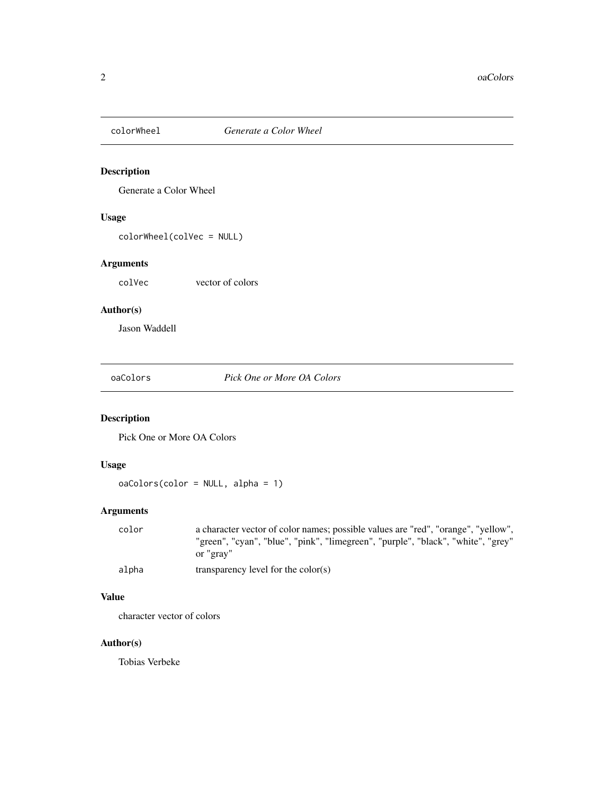<span id="page-1-0"></span>

# Description

Generate a Color Wheel

#### Usage

colorWheel(colVec = NULL)

# Arguments

colVec vector of colors

# Author(s)

Jason Waddell

oaColors *Pick One or More OA Colors*

# Description

Pick One or More OA Colors

#### Usage

```
oaColors(color = NULL, alpha = 1)
```
#### Arguments

| color | a character vector of color names; possible values are "red", "orange", "yellow", |
|-------|-----------------------------------------------------------------------------------|
|       | "green", "cyan", "blue", "pink", "limegreen", "purple", "black", "white", "grey"  |
|       | or "grav"                                                                         |
| alpha | transparency level for the $color(s)$                                             |

#### Value

character vector of colors

#### Author(s)

Tobias Verbeke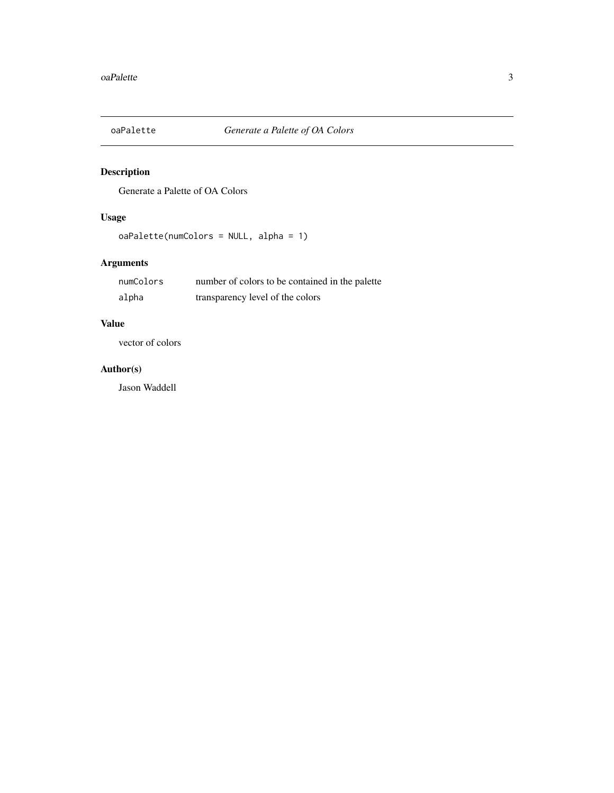<span id="page-2-0"></span>

# Description

Generate a Palette of OA Colors

# Usage

oaPalette(numColors = NULL, alpha = 1)

# Arguments

| numColors | number of colors to be contained in the palette |
|-----------|-------------------------------------------------|
| alpha     | transparency level of the colors                |

#### Value

vector of colors

#### Author(s)

Jason Waddell